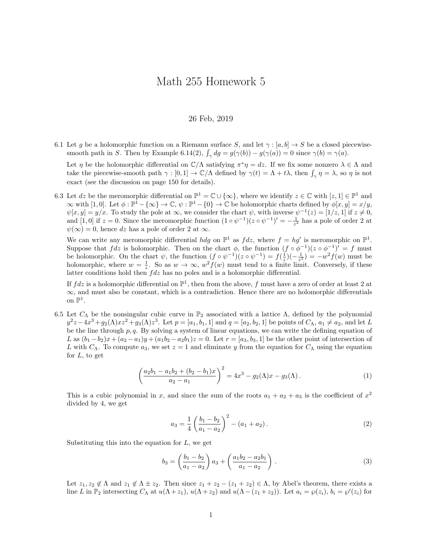## Math 255 Homework 5

## 26 Feb, 2019

6.1 Let g be a holomorphic function on a Riemann surface S, and let  $\gamma : [a, b] \to S$  be a closed piecewisesmooth path in S. Then by Example 6.14(2),  $\int_{\gamma} dg = g(\gamma(b)) - g(\gamma(a)) = 0$  since  $\gamma(b) = \gamma(a)$ .

Let  $\eta$  be the holomorphic differential on  $\mathbb{C}/\Lambda$  satisfying  $\pi^*\eta = dz$ . If we fix some nonzero  $\lambda \in \Lambda$  and take the piecewise-smooth path  $\gamma : [0,1] \to \mathbb{C}/\Lambda$  defined by  $\gamma(t) = \Lambda + t\lambda$ , then  $\int_{\gamma} \eta = \lambda$ , so  $\eta$  is not exact (see the discussion on page 150 for details).

6.3 Let dz be the meromorphic differential on  $\mathbb{P}^1 = \mathbb{C} \cup \{\infty\}$ , where we identify  $z \in \mathbb{C}$  with  $[z,1] \in \mathbb{P}^1$  and  $\infty$  with [1,0]. Let  $\phi: \mathbb{P}^1 - {\infty} \to \mathbb{C}, \psi: \mathbb{P}^1 - {\{0\}} \to \mathbb{C}$  be holomorphic charts defined by  $\phi[x, y] = x/y$ ,  $\psi[x,y] = y/x$ . To study the pole at  $\infty$ , we consider the chart  $\psi$ , with inverse  $\psi^{-1}(z) = [1/z, 1]$  if  $z \neq 0$ , and [1,0] if  $z = 0$ . Since the meromorphic function  $(1 \circ \psi^{-1})(z \circ \psi^{-1})' = -\frac{1}{z^2}$  has a pole of order 2 at  $\psi(\infty) = 0$ , hence dz has a pole of order 2 at  $\infty$ .

We can write any meromorphic differential hdg on  $\mathbb{P}^1$  as  $fdz$ , where  $f = hg'$  is meromorphic on  $\mathbb{P}^1$ . Suppose that  $fdz$  is holomorphic. Then on the chart  $\phi$ , the function  $(f \circ \phi^{-1})(z \circ \phi^{-1})' = f$  must be holomorphic. On the chart  $\psi$ , the function  $(f \circ \psi^{-1})(z \circ \psi^{-1}) = f(\frac{1}{z})(-\frac{1}{z^2}) = -w^2 f(w)$  must be holomorphic, where  $w = \frac{1}{z}$ . So as  $w \to \infty$ ,  $w^2 f(w)$  must tend to a finite limit. Conversely, if these latter conditions hold then  $fdz$  has no poles and is a holomorphic differential.

If  $fdz$  is a holomorphic differential on  $\mathbb{P}^1$ , then from the above, f must have a zero of order at least 2 at  $\infty$ , and must also be constant, which is a contradiction. Hence there are no holomorphic differentials on  $\mathbb{P}^1$ .

6.5 Let  $C_{\Lambda}$  be the nonsingular cubic curve in  $\mathbb{P}_2$  associated with a lattice  $\Lambda$ , defined by the polynomial  $y^2z - 4x^3 + g_2(\Lambda)x^2 + g_3(\Lambda)z^3$ . Let  $p = [a_1, b_1, 1]$  and  $q = [a_2, b_2, 1]$  be points of  $C_{\Lambda}$ ,  $a_1 \neq a_2$ , and let L be the line through  $p, q$ . By solving a system of linear equations, we can write the defining equation of L as  $(b_1 - b_2)x + (a_2 - a_1)y + (a_1b_2 - a_2b_1)z = 0$ . Let  $r = [a_3, b_3, 1]$  be the other point of intersection of L with  $C_\Lambda$ . To compute  $a_3$ , we set  $z = 1$  and eliminate y from the equation for  $C_\Lambda$  using the equation for  $L$ , to get

$$
\left(\frac{a_2b_1 - a_1b_2 + (b_2 - b_1)x}{a_2 - a_1}\right)^2 = 4x^3 - g_2(\Lambda)x - g_3(\Lambda).
$$
\n(1)

This is a cubic polynomial in x, and since the sum of the roots  $a_1 + a_2 + a_3$  is the coefficient of  $x^2$ divided by 4, we get

$$
a_3 = \frac{1}{4} \left( \frac{b_1 - b_2}{a_1 - a_2} \right)^2 - (a_1 + a_2).
$$
 (2)

Substituting this into the equation for  $L$ , we get

$$
b_3 = \left(\frac{b_1 - b_2}{a_1 - a_2}\right) a_3 + \left(\frac{a_1 b_2 - a_2 b_1}{a_1 - a_2}\right). \tag{3}
$$

Let  $z_1, z_2 \notin \Lambda$  and  $z_1 \notin \Lambda \pm z_2$ . Then since  $z_1 + z_2 - (z_1 + z_2) \in \Lambda$ , by Abel's theorem, there exists a line L in  $\mathbb{P}_2$  intersecting  $C_{\Lambda}$  at  $u(\Lambda + z_1)$ ,  $u(\Lambda + z_2)$  and  $u(\Lambda - (z_1 + z_2))$ . Let  $a_i = \wp(z_i)$ ,  $b_i = \wp'(z_i)$  for